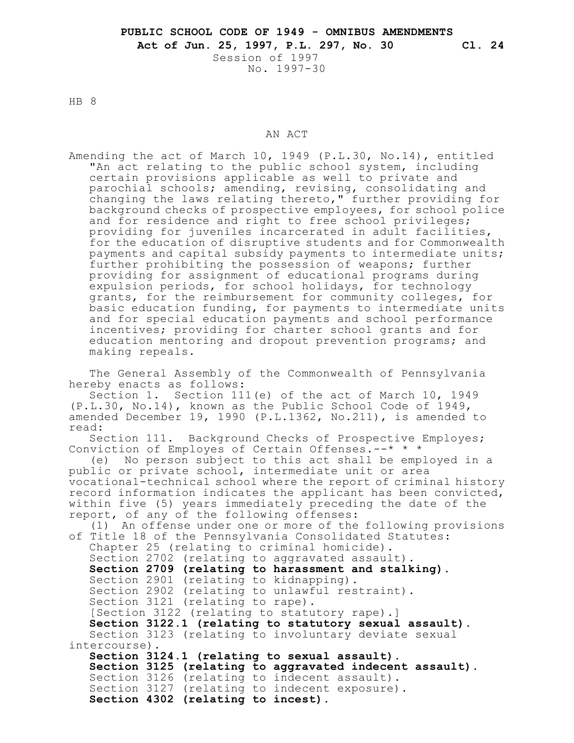No. 1997-30

HB 8

## AN ACT

Amending the act of March 10, 1949 (P.L.30, No.14), entitled "An act relating to the public school system, including certain provisions applicable as well to private and parochial schools; amending, revising, consolidating and changing the laws relating thereto," further providing for background checks of prospective employees, for school police and for residence and right to free school privileges; providing for juveniles incarcerated in adult facilities, for the education of disruptive students and for Commonwealth payments and capital subsidy payments to intermediate units; further prohibiting the possession of weapons; further providing for assignment of educational programs during expulsion periods, for school holidays, for technology grants, for the reimbursement for community colleges, for basic education funding, for payments to intermediate units and for special education payments and school performance incentives; providing for charter school grants and for education mentoring and dropout prevention programs; and making repeals.

The General Assembly of the Commonwealth of Pennsylvania hereby enacts as follows:

Section 1. Section 111(e) of the act of March 10, 1949 (P.L.30, No.14), known as the Public School Code of 1949, amended December 19, 1990 (P.L.1362, No.211), is amended to read:

Section 111. Background Checks of Prospective Employes; Conviction of Employes of Certain Offenses.--\* \* \*

(e) No person subject to this act shall be employed in a public or private school, intermediate unit or area vocational-technical school where the report of criminal history record information indicates the applicant has been convicted, within five (5) years immediately preceding the date of the report, of any of the following offenses:

(1) An offense under one or more of the following provisions of Title 18 of the Pennsylvania Consolidated Statutes: Chapter 25 (relating to criminal homicide). Section 2702 (relating to aggravated assault). **Section 2709 (relating to harassment and stalking).** Section 2901 (relating to kidnapping). Section 2902 (relating to unlawful restraint). Section 3121 (relating to rape). [Section 3122 (relating to statutory rape).] **Section 3122.1 (relating to statutory sexual assault).** Section 3123 (relating to involuntary deviate sexual intercourse). **Section 3124.1 (relating to sexual assault). Section 3125 (relating to aggravated indecent assault).** Section 3126 (relating to indecent assault). Section 3127 (relating to indecent exposure). **Section 4302 (relating to incest).**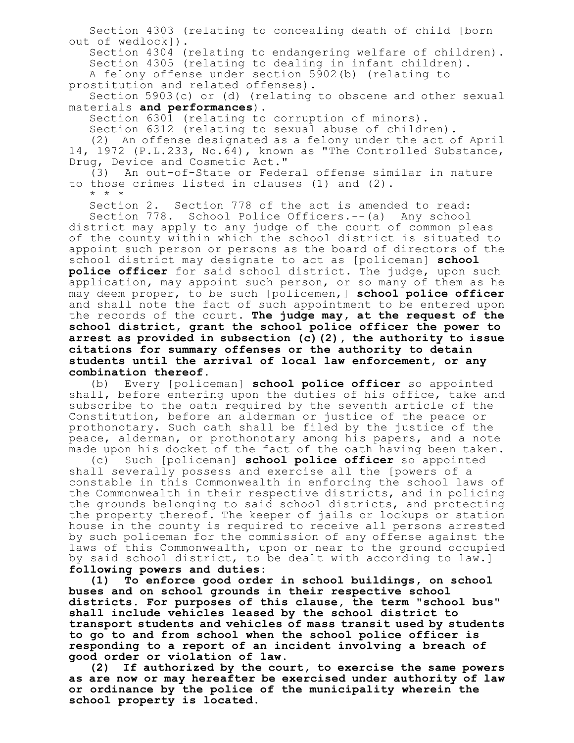Section 4303 (relating to concealing death of child [born out of wedlock]).

Section 4304 (relating to endangering welfare of children). Section 4305 (relating to dealing in infant children).

A felony offense under section 5902(b) (relating to prostitution and related offenses).

Section 5903(c) or (d) (relating to obscene and other sexual materials **and performances**).

Section 6301 (relating to corruption of minors).

Section 6312 (relating to sexual abuse of children).

(2) An offense designated as a felony under the act of April 14, 1972 (P.L.233, No.64), known as "The Controlled Substance, Drug, Device and Cosmetic Act."

(3) An out-of-State or Federal offense similar in nature to those crimes listed in clauses (1) and (2).

\* \* \*

Section 2. Section 778 of the act is amended to read:

Section 778. School Police Officers.--(a) Any school district may apply to any judge of the court of common pleas of the county within which the school district is situated to appoint such person or persons as the board of directors of the school district may designate to act as [policeman] **school police officer** for said school district. The judge, upon such application, may appoint such person, or so many of them as he may deem proper, to be such [policemen,] **school police officer** and shall note the fact of such appointment to be entered upon the records of the court. **The judge may, at the request of the school district, grant the school police officer the power to arrest as provided in subsection (c)(2), the authority to issue citations for summary offenses or the authority to detain students until the arrival of local law enforcement, or any combination thereof.**

(b) Every [policeman] **school police officer** so appointed shall, before entering upon the duties of his office, take and subscribe to the oath required by the seventh article of the Constitution, before an alderman or justice of the peace or prothonotary. Such oath shall be filed by the justice of the peace, alderman, or prothonotary among his papers, and a note made upon his docket of the fact of the oath having been taken.

(c) Such [policeman] **school police officer** so appointed shall severally possess and exercise all the [powers of a constable in this Commonwealth in enforcing the school laws of the Commonwealth in their respective districts, and in policing the grounds belonging to said school districts, and protecting the property thereof. The keeper of jails or lockups or station house in the county is required to receive all persons arrested by such policeman for the commission of any offense against the laws of this Commonwealth, upon or near to the ground occupied by said school district, to be dealt with according to law.] **following powers and duties:**

**(1) To enforce good order in school buildings, on school buses and on school grounds in their respective school districts. For purposes of this clause, the term "school bus" shall include vehicles leased by the school district to transport students and vehicles of mass transit used by students to go to and from school when the school police officer is responding to a report of an incident involving a breach of good order or violation of law.**

**(2) If authorized by the court, to exercise the same powers as are now or may hereafter be exercised under authority of law or ordinance by the police of the municipality wherein the school property is located.**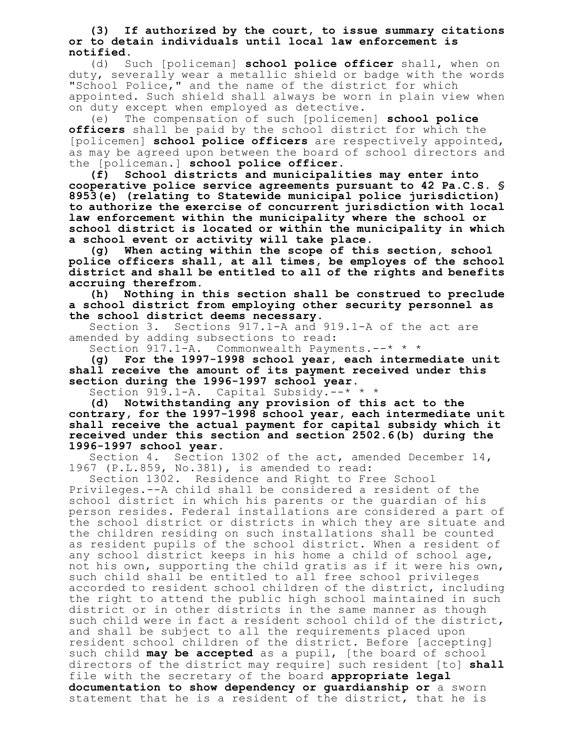**(3) If authorized by the court, to issue summary citations or to detain individuals until local law enforcement is notified.**

(d) Such [policeman] **school police officer** shall, when on duty, severally wear a metallic shield or badge with the words "School Police," and the name of the district for which appointed. Such shield shall always be worn in plain view when on duty except when employed as detective.

(e) The compensation of such [policemen] **school police officers** shall be paid by the school district for which the [policemen] **school police officers** are respectively appointed, as may be agreed upon between the board of school directors and the [policeman.] **school police officer.**

**(f) School districts and municipalities may enter into cooperative police service agreements pursuant to 42 Pa.C.S. § 8953(e) (relating to Statewide municipal police jurisdiction) to authorize the exercise of concurrent jurisdiction with local law enforcement within the municipality where the school or school district is located or within the municipality in which a school event or activity will take place.**

**(g) When acting within the scope of this section, school police officers shall, at all times, be employes of the school district and shall be entitled to all of the rights and benefits accruing therefrom.**

**(h) Nothing in this section shall be construed to preclude a school district from employing other security personnel as the school district deems necessary.**

Sections 917.1-A and 919.1-A of the act are amended by adding subsections to read:

Section 917.1-A. Commonwealth Payments.--\* \* \*

**(g) For the 1997-1998 school year, each intermediate unit shall receive the amount of its payment received under this section during the 1996-1997 school year.**

Section 919.1-A. Capital Subsidy.--\* \* \*

**(d) Notwithstanding any provision of this act to the contrary, for the 1997-1998 school year, each intermediate unit shall receive the actual payment for capital subsidy which it received under this section and section 2502.6(b) during the 1996-1997 school year.**

Section 4. Section 1302 of the act, amended December 14, 1967 (P.L.859, No.381), is amended to read:

Section 1302. Residence and Right to Free School Privileges.--A child shall be considered a resident of the school district in which his parents or the guardian of his person resides. Federal installations are considered a part of the school district or districts in which they are situate and the children residing on such installations shall be counted as resident pupils of the school district. When a resident of any school district keeps in his home a child of school age, not his own, supporting the child gratis as if it were his own, such child shall be entitled to all free school privileges accorded to resident school children of the district, including the right to attend the public high school maintained in such district or in other districts in the same manner as though such child were in fact a resident school child of the district, and shall be subject to all the requirements placed upon resident school children of the district. Before [accepting] such child **may be accepted** as a pupil, [the board of school directors of the district may require] such resident [to] **shall** file with the secretary of the board **appropriate legal documentation to show dependency or guardianship or** a sworn statement that he is a resident of the district, that he is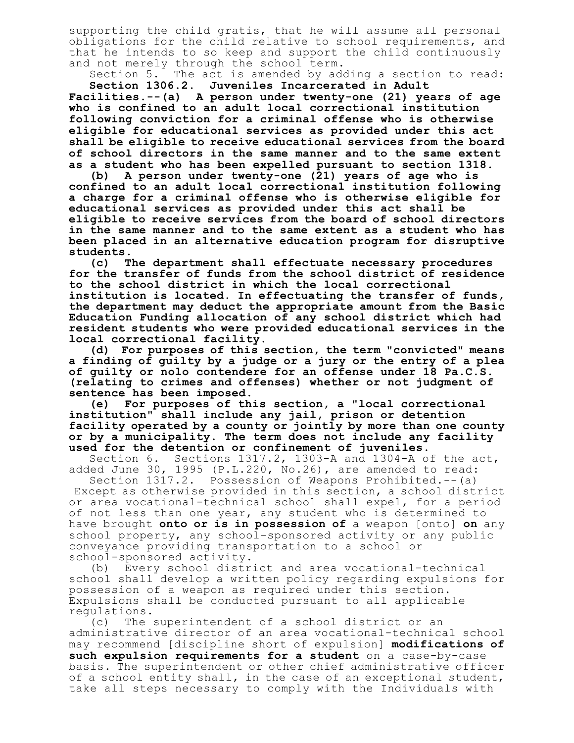supporting the child gratis, that he will assume all personal obligations for the child relative to school requirements, and that he intends to so keep and support the child continuously and not merely through the school term.

Section 5. The act is amended by adding a section to read: **Section 1306.2. Juveniles Incarcerated in Adult**

**Facilities.--(a) A person under twenty-one (21) years of age who is confined to an adult local correctional institution following conviction for a criminal offense who is otherwise eligible for educational services as provided under this act shall be eligible to receive educational services from the board of school directors in the same manner and to the same extent as a student who has been expelled pursuant to section 1318.**

**(b) A person under twenty-one (21) years of age who is confined to an adult local correctional institution following a charge for a criminal offense who is otherwise eligible for educational services as provided under this act shall be eligible to receive services from the board of school directors in the same manner and to the same extent as a student who has been placed in an alternative education program for disruptive students.**

**(c) The department shall effectuate necessary procedures for the transfer of funds from the school district of residence to the school district in which the local correctional institution is located. In effectuating the transfer of funds, the department may deduct the appropriate amount from the Basic Education Funding allocation of any school district which had resident students who were provided educational services in the local correctional facility.**

**(d) For purposes of this section, the term "convicted" means a finding of guilty by a judge or a jury or the entry of a plea of guilty or nolo contendere for an offense under 18 Pa.C.S. (relating to crimes and offenses) whether or not judgment of sentence has been imposed.**

**(e) For purposes of this section, a "local correctional institution" shall include any jail, prison or detention facility operated by a county or jointly by more than one county or by a municipality. The term does not include any facility used for the detention or confinement of juveniles.**

Sections  $1317.2$ , 1303-A and 1304-A of the act, added June 30, 1995 (P.L.220, No.26), are amended to read:

Section 1317.2. Possession of Weapons Prohibited.--(a) Except as otherwise provided in this section, a school district or area vocational-technical school shall expel, for a period of not less than one year, any student who is determined to have brought **onto or is in possession of** a weapon [onto] **on** any school property, any school-sponsored activity or any public conveyance providing transportation to a school or school-sponsored activity.

(b) Every school district and area vocational-technical school shall develop a written policy regarding expulsions for possession of a weapon as required under this section. Expulsions shall be conducted pursuant to all applicable regulations.

(c) The superintendent of a school district or an administrative director of an area vocational-technical school may recommend [discipline short of expulsion] **modifications of such expulsion requirements for a student** on a case-by-case basis. The superintendent or other chief administrative officer of a school entity shall, in the case of an exceptional student, take all steps necessary to comply with the Individuals with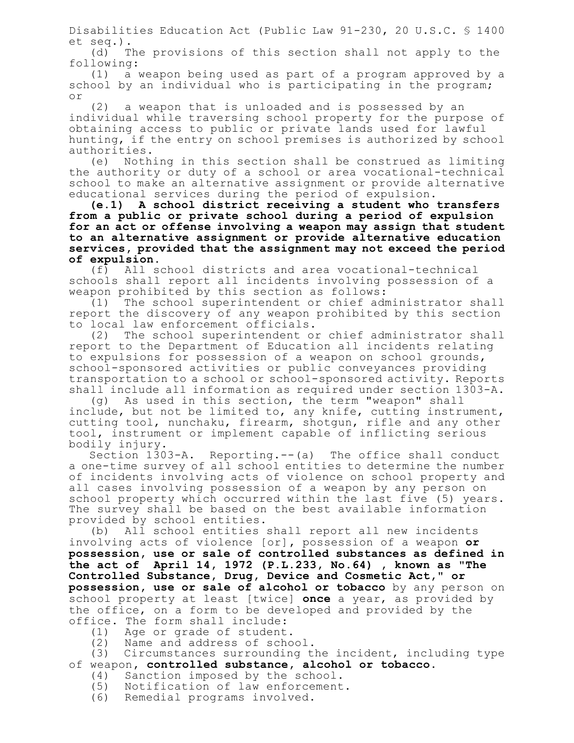Disabilities Education Act (Public Law 91-230, 20 U.S.C. § 1400 et seq.).

(d) The provisions of this section shall not apply to the following:

(1) a weapon being used as part of a program approved by a school by an individual who is participating in the program; or

(2) a weapon that is unloaded and is possessed by an individual while traversing school property for the purpose of obtaining access to public or private lands used for lawful hunting, if the entry on school premises is authorized by school authorities.

(e) Nothing in this section shall be construed as limiting the authority or duty of a school or area vocational-technical school to make an alternative assignment or provide alternative educational services during the period of expulsion.

**(e.1) A school district receiving a student who transfers from a public or private school during a period of expulsion for an act or offense involving a weapon may assign that student to an alternative assignment or provide alternative education services, provided that the assignment may not exceed the period of expulsion.**

(f) All school districts and area vocational-technical schools shall report all incidents involving possession of a weapon prohibited by this section as follows:

(1) The school superintendent or chief administrator shall report the discovery of any weapon prohibited by this section to local law enforcement officials.

(2) The school superintendent or chief administrator shall report to the Department of Education all incidents relating to expulsions for possession of a weapon on school grounds, school-sponsored activities or public conveyances providing transportation to a school or school-sponsored activity. Reports shall include all information as required under section 1303-A.

(g) As used in this section, the term "weapon" shall include, but not be limited to, any knife, cutting instrument, cutting tool, nunchaku, firearm, shotgun, rifle and any other tool, instrument or implement capable of inflicting serious bodily injury.

Section 1303-A. Reporting.--(a) The office shall conduct a one-time survey of all school entities to determine the number of incidents involving acts of violence on school property and all cases involving possession of a weapon by any person on school property which occurred within the last five (5) years. The survey shall be based on the best available information provided by school entities.

(b) All school entities shall report all new incidents involving acts of violence [or]**,** possession of a weapon **or possession, use or sale of controlled substances as defined in the act of April 14, 1972 (P.L.233, No.64) , known as "The Controlled Substance, Drug, Device and Cosmetic Act," or possession, use or sale of alcohol or tobacco** by any person on school property at least [twice] **once** a year, as provided by the office, on a form to be developed and provided by the office. The form shall include:

- (1) Age or grade of student.
- (2) Name and address of school.

(3) Circumstances surrounding the incident, including type of weapon**, controlled substance, alcohol or tobacco**.

- (4) Sanction imposed by the school.
- (5) Notification of law enforcement.
- (6) Remedial programs involved.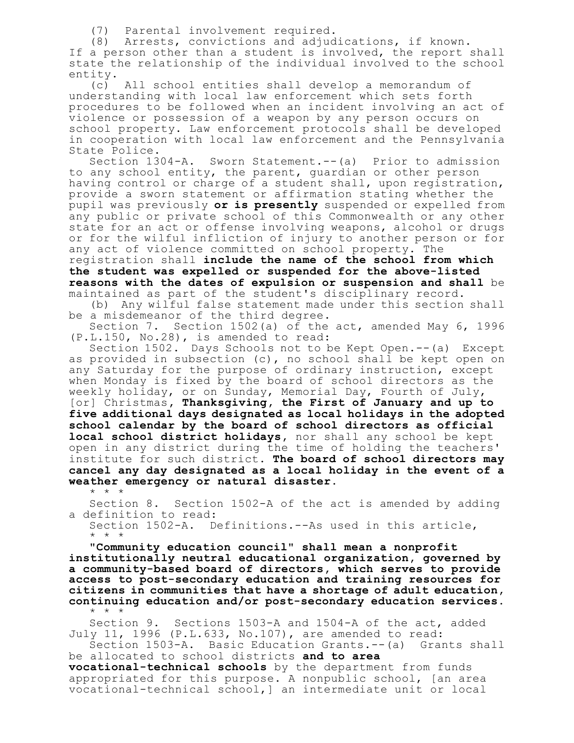(7) Parental involvement required.

(8) Arrests, convictions and adjudications, if known. If a person other than a student is involved, the report shall state the relationship of the individual involved to the school entity.

(c) All school entities shall develop a memorandum of understanding with local law enforcement which sets forth procedures to be followed when an incident involving an act of violence or possession of a weapon by any person occurs on school property. Law enforcement protocols shall be developed in cooperation with local law enforcement and the Pennsylvania State Police.

Section 1304-A. Sworn Statement.--(a) Prior to admission to any school entity, the parent, guardian or other person having control or charge of a student shall, upon registration, provide a sworn statement or affirmation stating whether the pupil was previously **or is presently** suspended or expelled from any public or private school of this Commonwealth or any other state for an act or offense involving weapons, alcohol or drugs or for the wilful infliction of injury to another person or for any act of violence committed on school property. The

registration shall **include the name of the school from which the student was expelled or suspended for the above-listed reasons with the dates of expulsion or suspension and shall** be maintained as part of the student's disciplinary record.

(b) Any wilful false statement made under this section shall be a misdemeanor of the third degree.

Section 7. Section 1502(a) of the act, amended May 6, 1996 (P.L.150, No.28), is amended to read:

Section 1502. Days Schools not to be Kept Open.--(a) Except as provided in subsection (c), no school shall be kept open on any Saturday for the purpose of ordinary instruction, except when Monday is fixed by the board of school directors as the weekly holiday, or on Sunday, Memorial Day, Fourth of July, [or] Christmas**, Thanksgiving, the First of January and up to five additional days designated as local holidays in the adopted school calendar by the board of school directors as official local school district holidays,** nor shall any school be kept open in any district during the time of holding the teachers' institute for such district. **The board of school directors may cancel any day designated as a local holiday in the event of a weather emergency or natural disaster.** \* \* \*

Section 8. Section 1502-A of the act is amended by adding a definition to read: Section 1502-A. Definitions.--As used in this article, \* \* \*

**"Community education council" shall mean a nonprofit institutionally neutral educational organization, governed by a community-based board of directors, which serves to provide access to post-secondary education and training resources for citizens in communities that have a shortage of adult education, continuing education and/or post-secondary education services.** \* \* \*

Section 9. Sections 1503-A and 1504-A of the act, added July 11, 1996 (P.L.633, No.107), are amended to read: Section 1503-A. Basic Education Grants.--(a) Grants shall

be allocated to school districts **and to area vocational-technical schools** by the department from funds appropriated for this purpose. A nonpublic school, [an area vocational-technical school,] an intermediate unit or local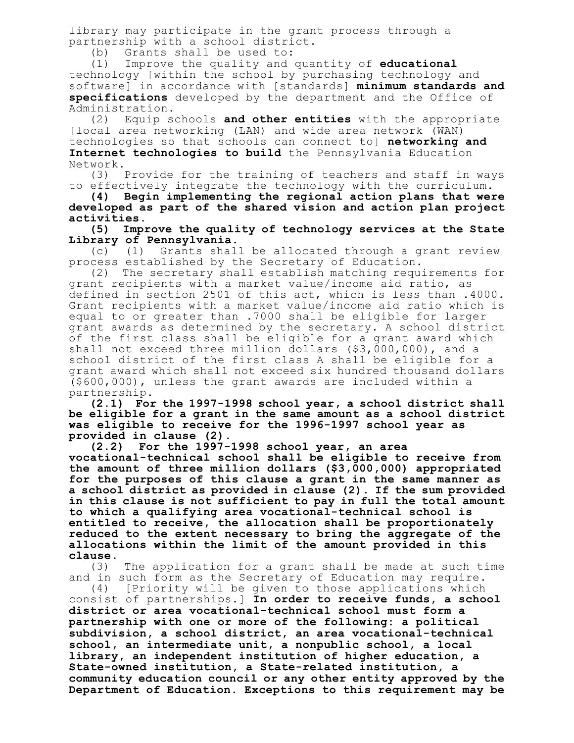library may participate in the grant process through a partnership with a school district.

(b) Grants shall be used to:

(1) Improve the quality and quantity of **educational** technology [within the school by purchasing technology and software] in accordance with [standards] **minimum standards and specifications** developed by the department and the Office of Administration.

(2) Equip schools **and other entities** with the appropriate [local area networking (LAN) and wide area network (WAN) technologies so that schools can connect to] **networking and Internet technologies to build** the Pennsylvania Education Network.<br> $(3)$ 

Provide for the training of teachers and staff in ways to effectively integrate the technology with the curriculum.

**(4) Begin implementing the regional action plans that were developed as part of the shared vision and action plan project activities.**

**(5) Improve the quality of technology services at the State Library of Pennsylvania.**

(c) (1) Grants shall be allocated through a grant review process established by the Secretary of Education.

(2) The secretary shall establish matching requirements for grant recipients with a market value/income aid ratio, as defined in section 2501 of this act, which is less than .4000. Grant recipients with a market value/income aid ratio which is equal to or greater than .7000 shall be eligible for larger grant awards as determined by the secretary. A school district of the first class shall be eligible for a grant award which shall not exceed three million dollars (\$3,000,000), and a school district of the first class A shall be eligible for a grant award which shall not exceed six hundred thousand dollars (\$600,000), unless the grant awards are included within a partnership.

**(2.1) For the 1997-1998 school year, a school district shall be eligible for a grant in the same amount as a school district was eligible to receive for the 1996-1997 school year as provided in clause (2).**

**(2.2) For the 1997-1998 school year, an area vocational-technical school shall be eligible to receive from the amount of three million dollars (\$3,000,000) appropriated for the purposes of this clause a grant in the same manner as a school district as provided in clause (2). If the sum provided in this clause is not sufficient to pay in full the total amount to which a qualifying area vocational-technical school is entitled to receive, the allocation shall be proportionately reduced to the extent necessary to bring the aggregate of the allocations within the limit of the amount provided in this clause.**

(3) The application for a grant shall be made at such time and in such form as the Secretary of Education may require.

(4) [Priority will be given to those applications which consist of partnerships.] **In order to receive funds, a school district or area vocational-technical school must form a partnership with one or more of the following: a political subdivision, a school district, an area vocational-technical school, an intermediate unit, a nonpublic school, a local library, an independent institution of higher education, a State-owned institution, a State-related institution, a community education council or any other entity approved by the Department of Education. Exceptions to this requirement may be**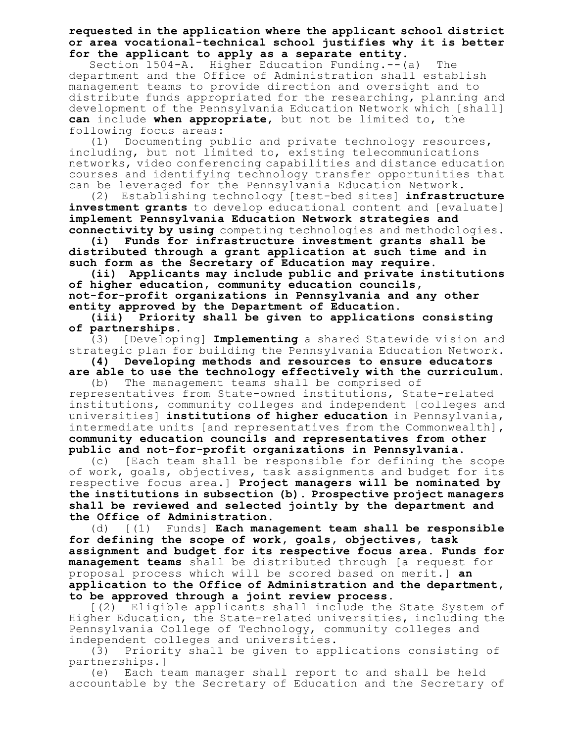## **requested in the application where the applicant school district or area vocational-technical school justifies why it is better for the applicant to apply as a separate entity.**

Section 1504-A. Higher Education Funding.--(a) The department and the Office of Administration shall establish management teams to provide direction and oversight and to distribute funds appropriated for the researching, planning and development of the Pennsylvania Education Network which [shall] **can** include **when appropriate**, but not be limited to, the following focus areas:

(1) Documenting public and private technology resources, including, but not limited to, existing telecommunications networks, video conferencing capabilities and distance education courses and identifying technology transfer opportunities that can be leveraged for the Pennsylvania Education Network.

(2) Establishing technology [test-bed sites] **infrastructure investment grants** to develop educational content and [evaluate] **implement Pennsylvania Education Network strategies and connectivity by using** competing technologies and methodologies.

**(i) Funds for infrastructure investment grants shall be distributed through a grant application at such time and in such form as the Secretary of Education may require.**

**(ii) Applicants may include public and private institutions of higher education, community education councils, not-for-profit organizations in Pennsylvania and any other entity approved by the Department of Education.**

**(iii) Priority shall be given to applications consisting of partnerships.**

(3) [Developing] **Implementing** a shared Statewide vision and strategic plan for building the Pennsylvania Education Network.

**(4) Developing methods and resources to ensure educators are able to use the technology effectively with the curriculum.**

(b) The management teams shall be comprised of representatives from State-owned institutions, State-related institutions, community colleges and independent [colleges and universities] **institutions of higher education** in Pennsylvania, intermediate units [and representatives from the Commonwealth]**, community education councils and representatives from other public and not-for-profit organizations in Pennsylvania**.

(c) [Each team shall be responsible for defining the scope of work, goals, objectives, task assignments and budget for its respective focus area.] **Project managers will be nominated by the institutions in subsection (b). Prospective project managers shall be reviewed and selected jointly by the department and the Office of Administration.**

(d) [(1) Funds] **Each management team shall be responsible for defining the scope of work, goals, objectives, task assignment and budget for its respective focus area. Funds for management teams** shall be distributed through [a request for proposal process which will be scored based on merit.] **an application to the Office of Administration and the department, to be approved through a joint review process.**

[(2) Eligible applicants shall include the State System of Higher Education, the State-related universities, including the Pennsylvania College of Technology, community colleges and independent colleges and universities.

(3) Priority shall be given to applications consisting of partnerships.]

(e) Each team manager shall report to and shall be held accountable by the Secretary of Education and the Secretary of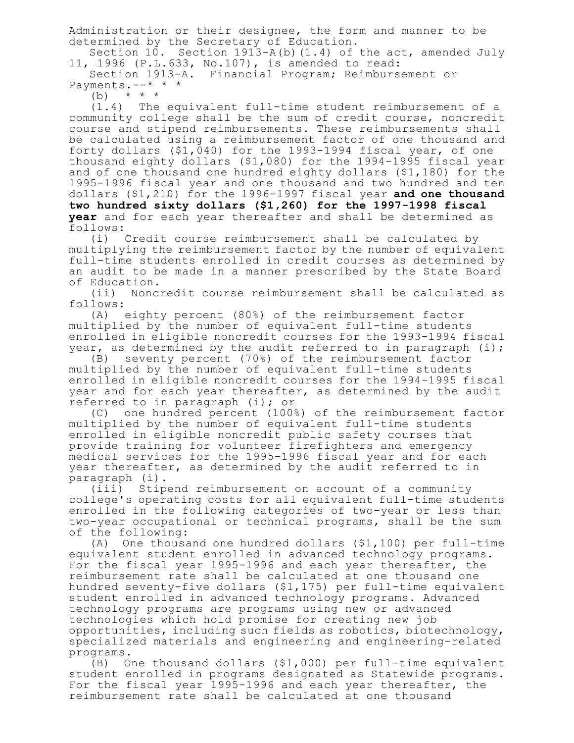Administration or their designee, the form and manner to be determined by the Secretary of Education.

Section 10. Section  $1913-A(b)$  (1.4) of the act, amended July 11, 1996 (P.L.633, No.107), is amended to read:

Section 1913-A. Financial Program; Reimbursement or Payments.--\* \* \*

(b) \* \* \*

(1.4) The equivalent full-time student reimbursement of a community college shall be the sum of credit course, noncredit course and stipend reimbursements. These reimbursements shall be calculated using a reimbursement factor of one thousand and forty dollars (\$1,040) for the 1993-1994 fiscal year, of one thousand eighty dollars (\$1,080) for the 1994-1995 fiscal year and of one thousand one hundred eighty dollars (\$1,180) for the 1995-1996 fiscal year and one thousand and two hundred and ten dollars (\$1,210) for the 1996-1997 fiscal year **and one thousand two hundred sixty dollars (\$1,260) for the 1997-1998 fiscal year** and for each year thereafter and shall be determined as follows:

(i) Credit course reimbursement shall be calculated by multiplying the reimbursement factor by the number of equivalent full-time students enrolled in credit courses as determined by an audit to be made in a manner prescribed by the State Board of Education.

(ii) Noncredit course reimbursement shall be calculated as follows:

(A) eighty percent (80%) of the reimbursement factor multiplied by the number of equivalent full-time students enrolled in eligible noncredit courses for the 1993-1994 fiscal year, as determined by the audit referred to in paragraph (i);

(B) seventy percent (70%) of the reimbursement factor multiplied by the number of equivalent full-time students enrolled in eligible noncredit courses for the 1994-1995 fiscal year and for each year thereafter, as determined by the audit referred to in paragraph (i); or

(C) one hundred percent (100%) of the reimbursement factor multiplied by the number of equivalent full-time students enrolled in eligible noncredit public safety courses that provide training for volunteer firefighters and emergency medical services for the 1995-1996 fiscal year and for each year thereafter, as determined by the audit referred to in paragraph (i).

(iii) Stipend reimbursement on account of a community college's operating costs for all equivalent full-time students enrolled in the following categories of two-year or less than two-year occupational or technical programs, shall be the sum of the following:

(A) One thousand one hundred dollars (\$1,100) per full-time equivalent student enrolled in advanced technology programs. For the fiscal year 1995-1996 and each year thereafter, the reimbursement rate shall be calculated at one thousand one hundred seventy-five dollars (\$1,175) per full-time equivalent student enrolled in advanced technology programs. Advanced technology programs are programs using new or advanced technologies which hold promise for creating new job opportunities, including such fields as robotics, biotechnology, specialized materials and engineering and engineering-related programs.

(B) One thousand dollars (\$1,000) per full-time equivalent student enrolled in programs designated as Statewide programs. For the fiscal year 1995-1996 and each year thereafter, the reimbursement rate shall be calculated at one thousand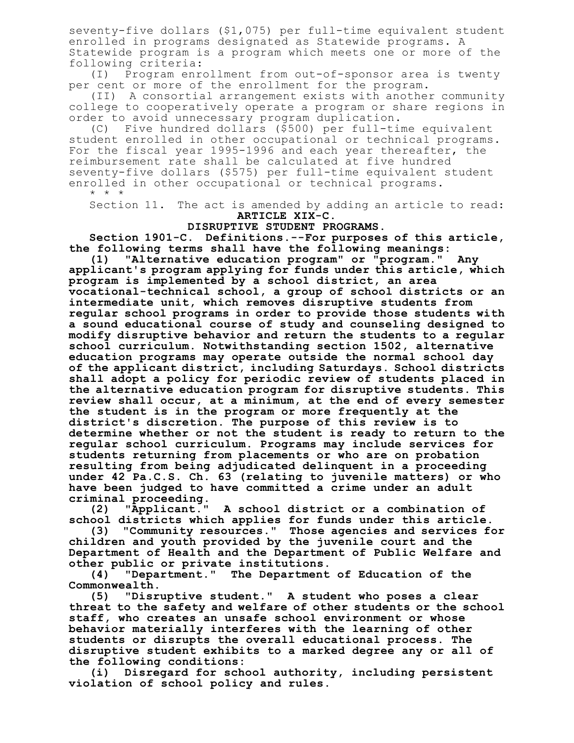seventy-five dollars (\$1,075) per full-time equivalent student enrolled in programs designated as Statewide programs. A Statewide program is a program which meets one or more of the following criteria:

(I) Program enrollment from out-of-sponsor area is twenty per cent or more of the enrollment for the program.

(II) A consortial arrangement exists with another community college to cooperatively operate a program or share regions in order to avoid unnecessary program duplication.

(C) Five hundred dollars (\$500) per full-time equivalent student enrolled in other occupational or technical programs. For the fiscal year 1995-1996 and each year thereafter, the reimbursement rate shall be calculated at five hundred seventy-five dollars (\$575) per full-time equivalent student enrolled in other occupational or technical programs. \* \* \*

Section 11. The act is amended by adding an article to read: **ARTICLE XIX-C.**

## **DISRUPTIVE STUDENT PROGRAMS.**

**Section 1901-C. Definitions.--For purposes of this article, the following terms shall have the following meanings:**

**(1) "Alternative education program" or "program." Any applicant's program applying for funds under this article, which program is implemented by a school district, an area vocational-technical school, a group of school districts or an intermediate unit, which removes disruptive students from regular school programs in order to provide those students with a sound educational course of study and counseling designed to modify disruptive behavior and return the students to a regular school curriculum. Notwithstanding section 1502, alternative education programs may operate outside the normal school day of the applicant district, including Saturdays. School districts shall adopt a policy for periodic review of students placed in the alternative education program for disruptive students. This review shall occur, at a minimum, at the end of every semester the student is in the program or more frequently at the district's discretion. The purpose of this review is to determine whether or not the student is ready to return to the regular school curriculum. Programs may include services for students returning from placements or who are on probation resulting from being adjudicated delinquent in a proceeding under 42 Pa.C.S. Ch. 63 (relating to juvenile matters) or who have been judged to have committed a crime under an adult criminal proceeding.**

**(2) "Applicant." A school district or a combination of school districts which applies for funds under this article.**

**(3) "Community resources." Those agencies and services for children and youth provided by the juvenile court and the Department of Health and the Department of Public Welfare and other public or private institutions.**

**(4) "Department." The Department of Education of the Commonwealth.**

**(5) "Disruptive student." A student who poses a clear threat to the safety and welfare of other students or the school staff, who creates an unsafe school environment or whose behavior materially interferes with the learning of other students or disrupts the overall educational process. The disruptive student exhibits to a marked degree any or all of the following conditions:**

**(i) Disregard for school authority, including persistent violation of school policy and rules.**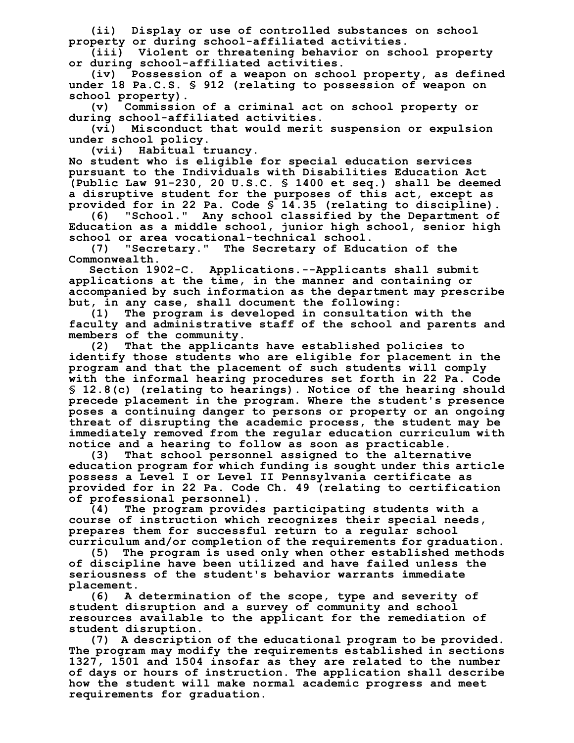**(ii) Display or use of controlled substances on school property or during school-affiliated activities.**

**(iii) Violent or threatening behavior on school property or during school-affiliated activities.**

**(iv) Possession of a weapon on school property, as defined under 18 Pa.C.S. § 912 (relating to possession of weapon on school property).**

**(v) Commission of a criminal act on school property or during school-affiliated activities.**

**(vi) Misconduct that would merit suspension or expulsion under school policy.**

**(vii) Habitual truancy.**

**No student who is eligible for special education services pursuant to the Individuals with Disabilities Education Act (Public Law 91-230, 20 U.S.C. § 1400 et seq.) shall be deemed a disruptive student for the purposes of this act, except as provided for in 22 Pa. Code § 14.35 (relating to discipline).**

**(6) "School." Any school classified by the Department of Education as a middle school, junior high school, senior high school or area vocational-technical school.**

**(7) "Secretary." The Secretary of Education of the Commonwealth.**

**Section 1902-C. Applications.--Applicants shall submit applications at the time, in the manner and containing or accompanied by such information as the department may prescribe but, in any case, shall document the following:**

**(1) The program is developed in consultation with the faculty and administrative staff of the school and parents and members of the community.**

**(2) That the applicants have established policies to identify those students who are eligible for placement in the program and that the placement of such students will comply with the informal hearing procedures set forth in 22 Pa. Code § 12.8(c) (relating to hearings). Notice of the hearing should precede placement in the program. Where the student's presence poses a continuing danger to persons or property or an ongoing threat of disrupting the academic process, the student may be immediately removed from the regular education curriculum with notice and a hearing to follow as soon as practicable.**

**(3) That school personnel assigned to the alternative education program for which funding is sought under this article possess a Level I or Level II Pennsylvania certificate as provided for in 22 Pa. Code Ch. 49 (relating to certification of professional personnel).**

**(4) The program provides participating students with a course of instruction which recognizes their special needs, prepares them for successful return to a regular school curriculum and/or completion of the requirements for graduation.**

**(5) The program is used only when other established methods of discipline have been utilized and have failed unless the seriousness of the student's behavior warrants immediate placement.**

**(6) A determination of the scope, type and severity of student disruption and a survey of community and school resources available to the applicant for the remediation of student disruption.**

**(7) A description of the educational program to be provided. The program may modify the requirements established in sections 1327, 1501 and 1504 insofar as they are related to the number of days or hours of instruction. The application shall describe how the student will make normal academic progress and meet requirements for graduation.**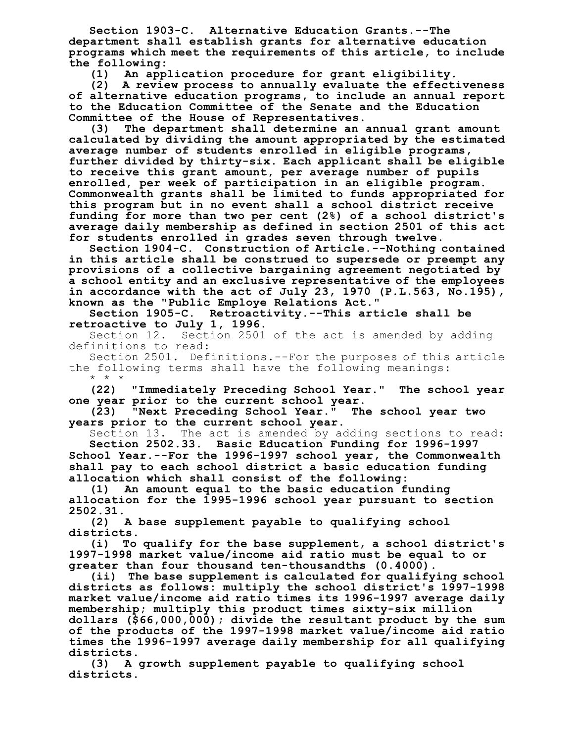**Section 1903-C. Alternative Education Grants.--The department shall establish grants for alternative education programs which meet the requirements of this article, to include the following:**

**(1) An application procedure for grant eligibility. (2) A review process to annually evaluate the effectiveness of alternative education programs, to include an annual report to the Education Committee of the Senate and the Education Committee of the House of Representatives.**

**(3) The department shall determine an annual grant amount calculated by dividing the amount appropriated by the estimated average number of students enrolled in eligible programs, further divided by thirty-six. Each applicant shall be eligible to receive this grant amount, per average number of pupils enrolled, per week of participation in an eligible program. Commonwealth grants shall be limited to funds appropriated for this program but in no event shall a school district receive funding for more than two per cent (2%) of a school district's average daily membership as defined in section 2501 of this act for students enrolled in grades seven through twelve.**

**Section 1904-C. Construction of Article.--Nothing contained in this article shall be construed to supersede or preempt any provisions of a collective bargaining agreement negotiated by a school entity and an exclusive representative of the employees in accordance with the act of July 23, 1970 (P.L.563, No.195), known as the "Public Employe Relations Act."**

**Section 1905-C. Retroactivity.--This article shall be retroactive to July 1, 1996.**

Section 12. Section 2501 of the act is amended by adding definitions to read:

Section 2501. Definitions.--For the purposes of this article the following terms shall have the following meanings: \* \* \*

**(22) "Immediately Preceding School Year." The school year one year prior to the current school year.**

**(23) "Next Preceding School Year." The school year two years prior to the current school year.**

Section 13. The act is amended by adding sections to read: **Section 2502.33. Basic Education Funding for 1996-1997**

**School Year.--For the 1996-1997 school year, the Commonwealth shall pay to each school district a basic education funding allocation which shall consist of the following:**

**(1) An amount equal to the basic education funding allocation for the 1995-1996 school year pursuant to section 2502.31.**

**(2) A base supplement payable to qualifying school districts.**

**(i) To qualify for the base supplement, a school district's 1997-1998 market value/income aid ratio must be equal to or greater than four thousand ten-thousandths (0.4000).**

**(ii) The base supplement is calculated for qualifying school districts as follows: multiply the school district's 1997-1998 market value/income aid ratio times its 1996-1997 average daily membership; multiply this product times sixty-six million dollars (\$66,000,000); divide the resultant product by the sum of the products of the 1997-1998 market value/income aid ratio times the 1996-1997 average daily membership for all qualifying districts.**

**(3) A growth supplement payable to qualifying school districts.**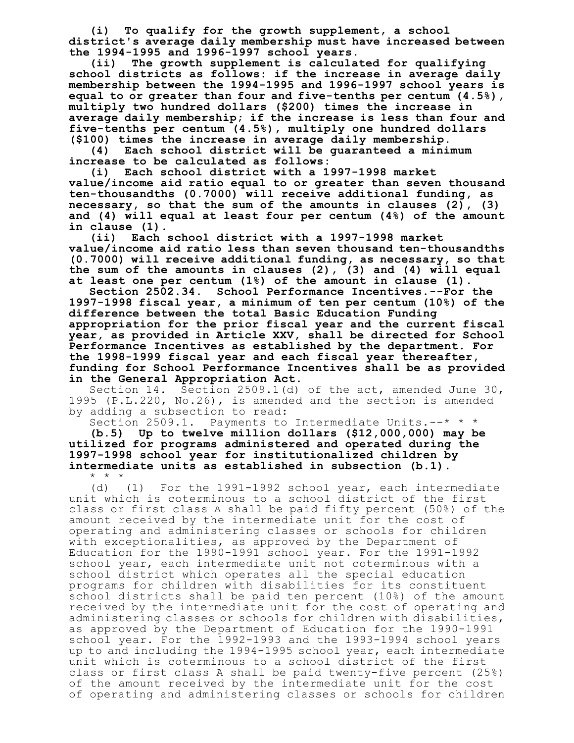**(i) To qualify for the growth supplement, a school district's average daily membership must have increased between the 1994-1995 and 1996-1997 school years.**

**(ii) The growth supplement is calculated for qualifying school districts as follows: if the increase in average daily membership between the 1994-1995 and 1996-1997 school years is equal to or greater than four and five-tenths per centum (4.5%), multiply two hundred dollars (\$200) times the increase in average daily membership; if the increase is less than four and five-tenths per centum (4.5%), multiply one hundred dollars (\$100) times the increase in average daily membership.**

**(4) Each school district will be guaranteed a minimum increase to be calculated as follows:**

**(i) Each school district with a 1997-1998 market value/income aid ratio equal to or greater than seven thousand ten-thousandths (0.7000) will receive additional funding, as necessary, so that the sum of the amounts in clauses (2), (3) and (4) will equal at least four per centum (4%) of the amount in clause (1).**

**(ii) Each school district with a 1997-1998 market value/income aid ratio less than seven thousand ten-thousandths (0.7000) will receive additional funding, as necessary, so that the sum of the amounts in clauses (2), (3) and (4) will equal at least one per centum (1%) of the amount in clause (1).**

**Section 2502.34. School Performance Incentives.--For the 1997-1998 fiscal year, a minimum of ten per centum (10%) of the difference between the total Basic Education Funding appropriation for the prior fiscal year and the current fiscal year, as provided in Article XXV, shall be directed for School Performance Incentives as established by the department. For the 1998-1999 fiscal year and each fiscal year thereafter, funding for School Performance Incentives shall be as provided in the General Appropriation Act.**

Section 14. Section 2509.1(d) of the act, amended June 30, 1995 (P.L.220, No.26), is amended and the section is amended by adding a subsection to read:

Section 2509.1. Payments to Intermediate Units.--\* \* \*

**(b.5) Up to twelve million dollars (\$12,000,000) may be utilized for programs administered and operated during the 1997-1998 school year for institutionalized children by intermediate units as established in subsection (b.1).**  $\star$   $\rightarrow$ 

(d) (1) For the 1991-1992 school year, each intermediate unit which is coterminous to a school district of the first class or first class A shall be paid fifty percent (50%) of the amount received by the intermediate unit for the cost of operating and administering classes or schools for children with exceptionalities, as approved by the Department of Education for the 1990-1991 school year. For the 1991-1992 school year, each intermediate unit not coterminous with a school district which operates all the special education programs for children with disabilities for its constituent school districts shall be paid ten percent (10%) of the amount received by the intermediate unit for the cost of operating and administering classes or schools for children with disabilities, as approved by the Department of Education for the 1990-1991 school year. For the 1992-1993 and the 1993-1994 school years up to and including the 1994-1995 school year, each intermediate unit which is coterminous to a school district of the first class or first class A shall be paid twenty-five percent (25%) of the amount received by the intermediate unit for the cost of operating and administering classes or schools for children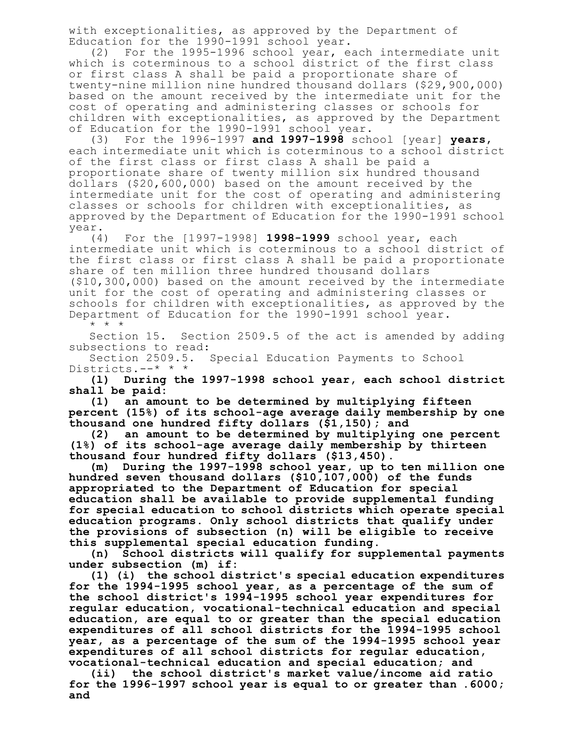with exceptionalities, as approved by the Department of Education for the 1990-1991 school year.

(2) For the 1995-1996 school year, each intermediate unit which is coterminous to a school district of the first class or first class A shall be paid a proportionate share of twenty-nine million nine hundred thousand dollars (\$29,900,000) based on the amount received by the intermediate unit for the cost of operating and administering classes or schools for children with exceptionalities, as approved by the Department of Education for the 1990-1991 school year.

(3) For the 1996-1997 **and 1997-1998** school [year] **years**, each intermediate unit which is coterminous to a school district of the first class or first class A shall be paid a proportionate share of twenty million six hundred thousand dollars (\$20,600,000) based on the amount received by the intermediate unit for the cost of operating and administering classes or schools for children with exceptionalities, as approved by the Department of Education for the 1990-1991 school year.

(4) For the [1997-1998] **1998-1999** school year, each intermediate unit which is coterminous to a school district of the first class or first class A shall be paid a proportionate share of ten million three hundred thousand dollars (\$10,300,000) based on the amount received by the intermediate unit for the cost of operating and administering classes or schools for children with exceptionalities, as approved by the Department of Education for the 1990-1991 school year. \* \* \*

Section 15. Section 2509.5 of the act is amended by adding subsections to read:

Section 2509.5. Special Education Payments to School Districts.--\* \* \*

**(l) During the 1997-1998 school year, each school district shall be paid:**

**(1) an amount to be determined by multiplying fifteen percent (15%) of its school-age average daily membership by one thousand one hundred fifty dollars (\$1,150); and**

**(2) an amount to be determined by multiplying one percent (1%) of its school-age average daily membership by thirteen thousand four hundred fifty dollars (\$13,450).**

**(m) During the 1997-1998 school year, up to ten million one hundred seven thousand dollars (\$10,107,000) of the funds appropriated to the Department of Education for special education shall be available to provide supplemental funding for special education to school districts which operate special education programs. Only school districts that qualify under the provisions of subsection (n) will be eligible to receive this supplemental special education funding.**

**(n) School districts will qualify for supplemental payments under subsection (m) if:**

**(1) (i) the school district's special education expenditures for the 1994-1995 school year, as a percentage of the sum of the school district's 1994-1995 school year expenditures for regular education, vocational-technical education and special education, are equal to or greater than the special education expenditures of all school districts for the 1994-1995 school year, as a percentage of the sum of the 1994-1995 school year expenditures of all school districts for regular education, vocational-technical education and special education; and**

**(ii) the school district's market value/income aid ratio for the 1996-1997 school year is equal to or greater than .6000; and**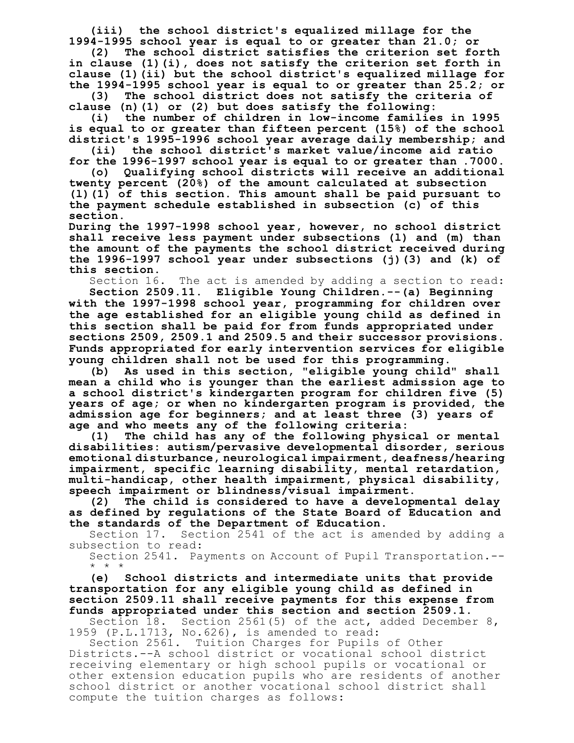**(iii) the school district's equalized millage for the 1994-1995 school year is equal to or greater than 21.0; or**

**(2) The school district satisfies the criterion set forth in clause (1)(i), does not satisfy the criterion set forth in clause (1)(ii) but the school district's equalized millage for the 1994-1995 school year is equal to or greater than 25.2; or**

**(3) The school district does not satisfy the criteria of clause (n)(1) or (2) but does satisfy the following:**

**(i) the number of children in low-income families in 1995 is equal to or greater than fifteen percent (15%) of the school district's 1995-1996 school year average daily membership; and**

**(ii) the school district's market value/income aid ratio for the 1996-1997 school year is equal to or greater than .7000.**

**(o) Qualifying school districts will receive an additional twenty percent (20%) of the amount calculated at subsection (l)(1) of this section. This amount shall be paid pursuant to the payment schedule established in subsection (c) of this section.**

**During the 1997-1998 school year, however, no school district shall receive less payment under subsections (l) and (m) than the amount of the payments the school district received during the 1996-1997 school year under subsections (j)(3) and (k) of this section.**

Section 16. The act is amended by adding a section to read:

**Section 2509.11. Eligible Young Children.--(a) Beginning with the 1997-1998 school year, programming for children over the age established for an eligible young child as defined in this section shall be paid for from funds appropriated under sections 2509, 2509.1 and 2509.5 and their successor provisions. Funds appropriated for early intervention services for eligible young children shall not be used for this programming.**

**(b) As used in this section, "eligible young child" shall mean a child who is younger than the earliest admission age to a school district's kindergarten program for children five (5) years of age; or when no kindergarten program is provided, the admission age for beginners; and at least three (3) years of age and who meets any of the following criteria:**

**(1) The child has any of the following physical or mental disabilities: autism/pervasive developmental disorder, serious emotional disturbance, neurological impairment, deafness/hearing impairment, specific learning disability, mental retardation, multi-handicap, other health impairment, physical disability, speech impairment or blindness/visual impairment.**

**(2) The child is considered to have a developmental delay as defined by regulations of the State Board of Education and the standards of the Department of Education.**

Section 17. Section 2541 of the act is amended by adding a subsection to read:

Section 2541. Payments on Account of Pupil Transportation.-- \* \* \*

**(e) School districts and intermediate units that provide transportation for any eligible young child as defined in section 2509.11 shall receive payments for this expense from funds appropriated under this section and section 2509.1.**

Section 18. Section 2561(5) of the act, added December 8, 1959 (P.L.1713, No.626), is amended to read:

Section 2561. Tuition Charges for Pupils of Other Districts.--A school district or vocational school district receiving elementary or high school pupils or vocational or other extension education pupils who are residents of another school district or another vocational school district shall compute the tuition charges as follows: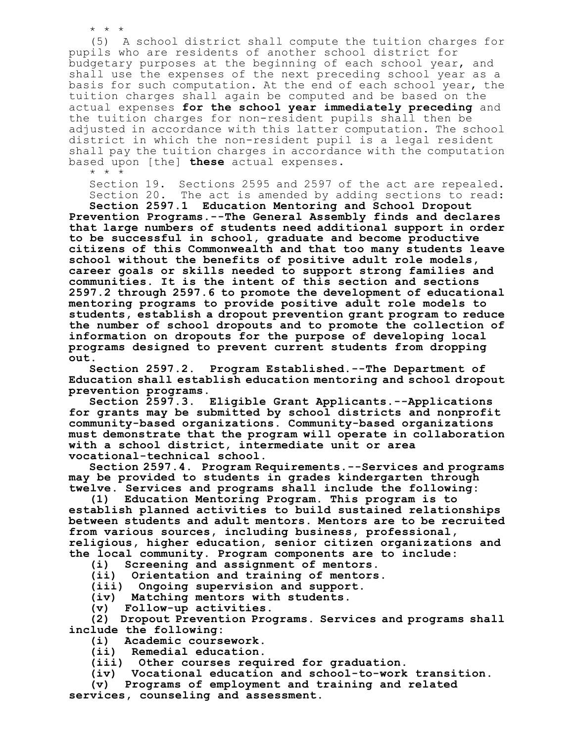(5) A school district shall compute the tuition charges for pupils who are residents of another school district for budgetary purposes at the beginning of each school year, and shall use the expenses of the next preceding school year as a basis for such computation. At the end of each school year, the tuition charges shall again be computed and be based on the actual expenses **for the school year immediately preceding** and the tuition charges for non-resident pupils shall then be adjusted in accordance with this latter computation. The school district in which the non-resident pupil is a legal resident shall pay the tuition charges in accordance with the computation based upon [the] **these** actual expenses. \* \* \*

Section 19. Sections 2595 and 2597 of the act are repealed. Section 20. The act is amended by adding sections to read:

**Section 2597.1 Education Mentoring and School Dropout Prevention Programs.--The General Assembly finds and declares that large numbers of students need additional support in order to be successful in school, graduate and become productive citizens of this Commonwealth and that too many students leave school without the benefits of positive adult role models, career goals or skills needed to support strong families and communities. It is the intent of this section and sections 2597.2 through 2597.6 to promote the development of educational mentoring programs to provide positive adult role models to students, establish a dropout prevention grant program to reduce the number of school dropouts and to promote the collection of information on dropouts for the purpose of developing local programs designed to prevent current students from dropping out.**

**Section 2597.2. Program Established.--The Department of Education shall establish education mentoring and school dropout prevention programs.**

**Section 2597.3. Eligible Grant Applicants.--Applications for grants may be submitted by school districts and nonprofit community-based organizations. Community-based organizations must demonstrate that the program will operate in collaboration with a school district, intermediate unit or area vocational-technical school.**

**Section 2597.4. Program Requirements.--Services and programs may be provided to students in grades kindergarten through twelve. Services and programs shall include the following:**

**(1) Education Mentoring Program. This program is to establish planned activities to build sustained relationships between students and adult mentors. Mentors are to be recruited from various sources, including business, professional, religious, higher education, senior citizen organizations and the local community. Program components are to include:**

**(i) Screening and assignment of mentors.**

**(ii) Orientation and training of mentors.**

**(iii) Ongoing supervision and support.**

**(iv) Matching mentors with students.**

**(v) Follow-up activities.**

\* \* \*

**(2) Dropout Prevention Programs. Services and programs shall include the following:**

- **(i) Academic coursework.**
- **(ii) Remedial education.**
- **(iii) Other courses required for graduation.**

**(iv) Vocational education and school-to-work transition.**

**(v) Programs of employment and training and related services, counseling and assessment.**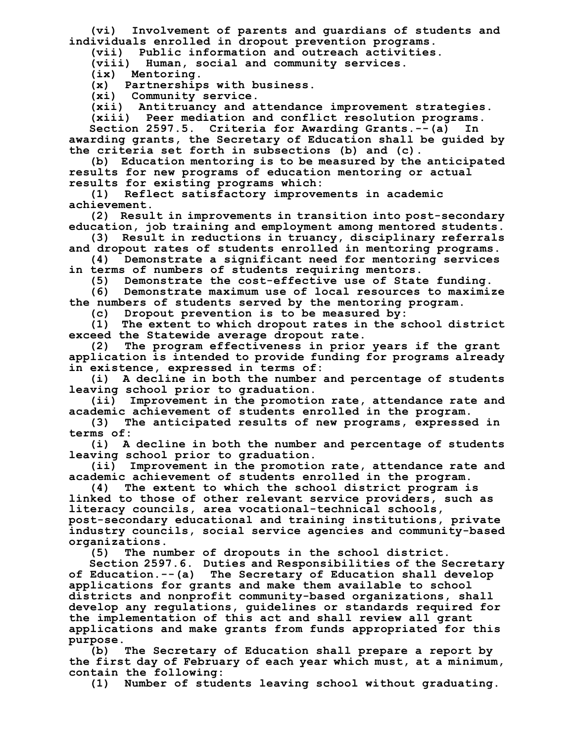**(vi) Involvement of parents and guardians of students and individuals enrolled in dropout prevention programs.**

**(vii) Public information and outreach activities.**

**(viii) Human, social and community services.**

**(ix) Mentoring.**

**(x) Partnerships with business.**

**(xi) Community service.**

**(xii) Antitruancy and attendance improvement strategies.**

**(xiii) Peer mediation and conflict resolution programs.**

**Section 2597.5. Criteria for Awarding Grants.--(a) In awarding grants, the Secretary of Education shall be guided by the criteria set forth in subsections (b) and (c).**

**(b) Education mentoring is to be measured by the anticipated results for new programs of education mentoring or actual results for existing programs which:**

**(1) Reflect satisfactory improvements in academic achievement.**

**(2) Result in improvements in transition into post-secondary education, job training and employment among mentored students.**

**(3) Result in reductions in truancy, disciplinary referrals and dropout rates of students enrolled in mentoring programs.**

**(4) Demonstrate a significant need for mentoring services in terms of numbers of students requiring mentors.**

**(5) Demonstrate the cost-effective use of State funding.**

**(6) Demonstrate maximum use of local resources to maximize the numbers of students served by the mentoring program.**

**(c) Dropout prevention is to be measured by:**

**(1) The extent to which dropout rates in the school district exceed the Statewide average dropout rate.**

**(2) The program effectiveness in prior years if the grant application is intended to provide funding for programs already in existence, expressed in terms of:**

**(i) A decline in both the number and percentage of students leaving school prior to graduation.**

**(ii) Improvement in the promotion rate, attendance rate and academic achievement of students enrolled in the program.**

**(3) The anticipated results of new programs, expressed in terms of:**

**(i) A decline in both the number and percentage of students leaving school prior to graduation.**

**(ii) Improvement in the promotion rate, attendance rate and academic achievement of students enrolled in the program.**

**(4) The extent to which the school district program is linked to those of other relevant service providers, such as literacy councils, area vocational-technical schools, post-secondary educational and training institutions, private industry councils, social service agencies and community-based organizations.**

**(5) The number of dropouts in the school district.**

**Section 2597.6. Duties and Responsibilities of the Secretary of Education.--(a) The Secretary of Education shall develop applications for grants and make them available to school districts and nonprofit community-based organizations, shall develop any regulations, guidelines or standards required for the implementation of this act and shall review all grant applications and make grants from funds appropriated for this purpose.**

**(b) The Secretary of Education shall prepare a report by the first day of February of each year which must, at a minimum, contain the following:**

**(1) Number of students leaving school without graduating.**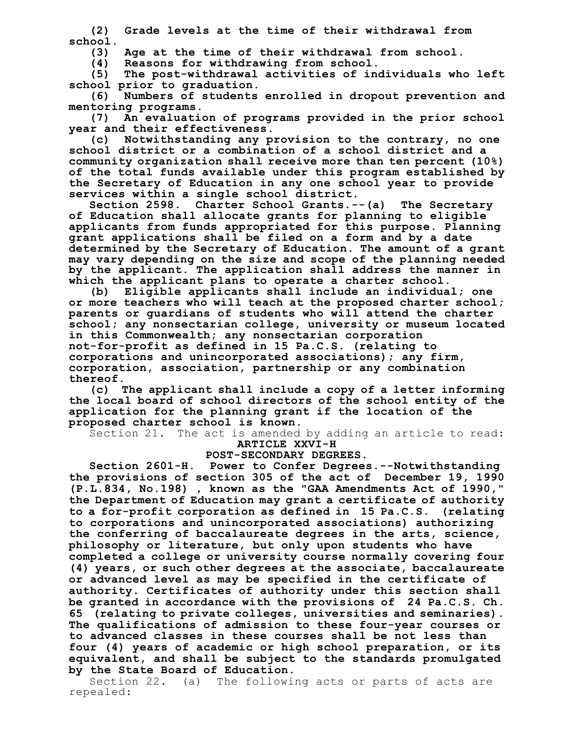**(2) Grade levels at the time of their withdrawal from school.**

**(3) Age at the time of their withdrawal from school.**

**(4) Reasons for withdrawing from school.**

**(5) The post-withdrawal activities of individuals who left school prior to graduation.**

**(6) Numbers of students enrolled in dropout prevention and mentoring programs.**

**(7) An evaluation of programs provided in the prior school year and their effectiveness.**

**(c) Notwithstanding any provision to the contrary, no one school district or a combination of a school district and a community organization shall receive more than ten percent (10%) of the total funds available under this program established by the Secretary of Education in any one school year to provide services within a single school district.**

**Section 2598. Charter School Grants.--(a) The Secretary of Education shall allocate grants for planning to eligible applicants from funds appropriated for this purpose. Planning grant applications shall be filed on a form and by a date determined by the Secretary of Education. The amount of a grant may vary depending on the size and scope of the planning needed by the applicant. The application shall address the manner in which the applicant plans to operate a charter school.**

**(b) Eligible applicants shall include an individual; one or more teachers who will teach at the proposed charter school; parents or guardians of students who will attend the charter school; any nonsectarian college, university or museum located in this Commonwealth; any nonsectarian corporation not-for-profit as defined in 15 Pa.C.S. (relating to corporations and unincorporated associations); any firm, corporation, association, partnership or any combination thereof.**

**(c) The applicant shall include a copy of a letter informing the local board of school directors of the school entity of the application for the planning grant if the location of the proposed charter school is known.**

Section 21. The act is amended by adding an article to read: **ARTICLE XXVI-H**

## **POST-SECONDARY DEGREES.**

**Section 2601-H. Power to Confer Degrees.--Notwithstanding the provisions of section 305 of the act of December 19, 1990 (P.L.834, No.198) , known as the "GAA Amendments Act of 1990," the Department of Education may grant a certificate of authority to a for-profit corporation as defined in 15 Pa.C.S. (relating to corporations and unincorporated associations) authorizing the conferring of baccalaureate degrees in the arts, science, philosophy or literature, but only upon students who have completed a college or university course normally covering four (4) years, or such other degrees at the associate, baccalaureate or advanced level as may be specified in the certificate of authority. Certificates of authority under this section shall be granted in accordance with the provisions of 24 Pa.C.S. Ch. 65 (relating to private colleges, universities and seminaries). The qualifications of admission to these four-year courses or to advanced classes in these courses shall be not less than four (4) years of academic or high school preparation, or its equivalent, and shall be subject to the standards promulgated by the State Board of Education.**

Section 22. (a) The following acts or parts of acts are repealed: